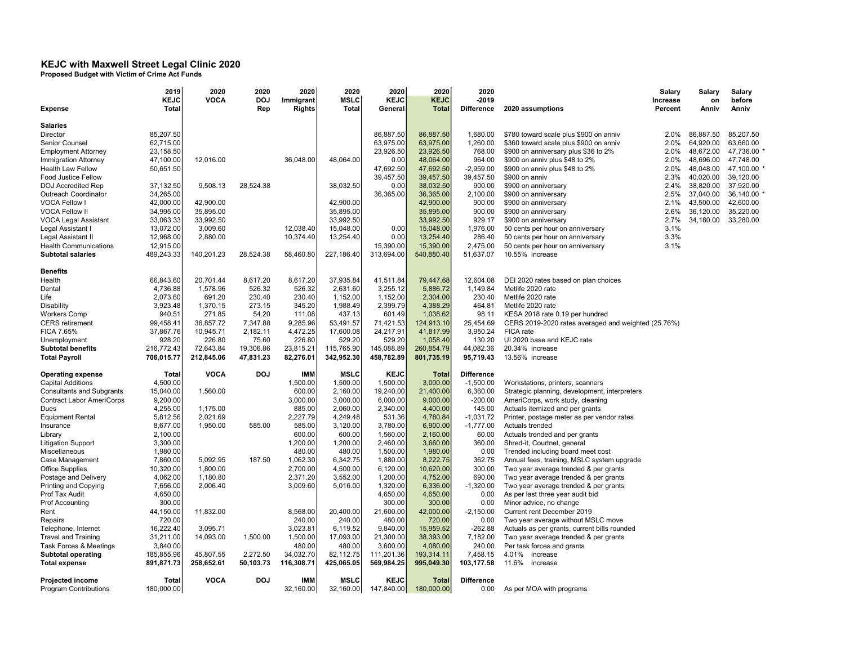## KEJC with Maxwell Street Legal Clinic 2020

Proposed Budget with Victim of Crime Act Funds

|                                                      | 2019              | 2020        | 2020       | 2020                   | 2020                    | 2020                    | 2020                     | 2020                             |                                                     | Salary    | Salary    | Salary      |
|------------------------------------------------------|-------------------|-------------|------------|------------------------|-------------------------|-------------------------|--------------------------|----------------------------------|-----------------------------------------------------|-----------|-----------|-------------|
|                                                      | <b>KEJC</b>       | <b>VOCA</b> | <b>DOJ</b> | Immigrant              | <b>MSLC</b>             | <b>KEJC</b>             | <b>KEJC</b>              | $-2019$                          |                                                     | Increase  | on        | before      |
| <b>Expense</b>                                       | <b>Total</b>      |             | Rep        | Rights                 | <b>Total</b>            | General                 | <b>Total</b>             | <b>Difference</b>                | 2020 assumptions                                    | Percent   | Anniv     | Anniv       |
|                                                      |                   |             |            |                        |                         |                         |                          |                                  |                                                     |           |           |             |
| <b>Salaries</b>                                      |                   |             |            |                        |                         |                         |                          |                                  |                                                     |           |           |             |
| Director                                             | 85,207.50         |             |            |                        |                         | 86,887.50               | 86,887.50                | 1,680.00                         | \$780 toward scale plus \$900 on anniv              | 2.0%      | 86,887.50 | 85,207.50   |
| Senior Counsel                                       | 62,715.00         |             |            |                        |                         | 63,975.00               | 63,975.00                | 1,260.00                         | \$360 toward scale plus \$900 on anniv              | 2.0%      | 64,920.00 | 63,660.00   |
| <b>Employment Attorney</b>                           | 23,158.50         |             |            |                        |                         | 23,926.50               | 23,926.50                | 768.00                           | \$900 on anniversary plus \$36 to 2%                | 2.0%      | 48,672.00 | 47,736.00   |
| <b>Immigration Attorney</b>                          | 47,100.00         | 12,016.00   |            | 36,048.00              | 48,064.00               | 0.00                    | 48,064.00                | 964.00                           | \$900 on anniv plus \$48 to 2%                      | 2.0%      | 48,696.00 | 47,748.00   |
| <b>Health Law Fellow</b>                             | 50,651.50         |             |            |                        |                         | 47,692.50               | 47,692.50                | $-2,959.00$                      | \$900 on anniv plus \$48 to 2%                      | 2.0%      | 48,048.00 | 47,100.00   |
| Food Justice Fellow                                  |                   |             |            |                        |                         | 39,457.50               | 39,457.50                | 39,457.50                        | \$900 on anniv                                      | 2.3%      | 40,020.00 | 39,120.00   |
| DOJ Accredited Rep                                   | 37,132.50         | 9,508.13    | 28,524.38  |                        | 38,032.50               | 0.00                    | 38,032.50                | 900.00                           | \$900 on anniversary                                | 2.4%      | 38,820.00 | 37,920.00   |
| Outreach Coordinator                                 | 34,265.00         |             |            |                        |                         | 36,365.00               | 36,365.00                | 2,100.00                         | \$900 on anniversary                                | 2.5%      | 37,040.00 | 36,140.00 * |
| VOCA Fellow I                                        | 42,000.00         | 42,900.00   |            |                        | 42,900.00               |                         | 42,900.00                | 900.00                           | \$900 on anniversary                                | 2.1%      | 43,500.00 | 42,600.00   |
| <b>VOCA Fellow II</b>                                | 34,995.00         | 35,895.00   |            |                        | 35,895.00               |                         | 35,895.00                | 900.00                           | \$900 on anniversary                                | 2.6%      | 36,120.00 | 35,220.00   |
| <b>VOCA Legal Assistant</b>                          | 33,063.33         | 33,992.50   |            |                        | 33,992.50               |                         | 33.992.50                | 929.17                           | \$900 on anniversary                                | 34,180.00 | 33,280.00 |             |
| Legal Assistant I                                    | 13,072.00         | 3,009.60    |            | 12,038.40              | 15,048.00               | 0.00                    | 15,048.00                | 1,976.00                         | 50 cents per hour on anniversary                    | 3.1%      |           |             |
| Legal Assistant II                                   | 12,968.00         | 2,880.00    |            | 10,374.40              | 13,254.40               | 0.00                    | 13,254.40                | 286.40                           | 50 cents per hour on anniversary                    | 3.3%      |           |             |
| <b>Health Communications</b>                         | 12,915.00         |             |            |                        |                         | 15,390.00               | 15,390.00                | 2,475.00                         | 50 cents per hour on anniversary                    | 3.1%      |           |             |
| <b>Subtotal salaries</b>                             | 489,243.33        | 140,201.23  | 28,524.38  | 58,460.80              | 227,186.40              | 313,694.00              | 540,880.40               | 51,637.07                        | 10.55% increase                                     |           |           |             |
|                                                      |                   |             |            |                        |                         |                         |                          |                                  |                                                     |           |           |             |
| <b>Benefits</b>                                      |                   |             |            |                        |                         |                         |                          |                                  |                                                     |           |           |             |
| Health                                               | 66,843.60         | 20,701.44   | 8,617.20   | 8,617.20               | 37,935.84               | 41,511.84               | 79,447.68                | 12,604.08                        | DEI 2020 rates based on plan choices                |           |           |             |
| Dental                                               | 4,736.88          | 1,578.96    | 526.32     | 526.32                 | 2,631.60                | 3,255.12                | 5,886.72                 | 1,149.84                         | Metlife 2020 rate                                   |           |           |             |
| Life                                                 | 2,073.60          | 691.20      | 230.40     | 230.40                 | 1,152.00                | 1,152.00                | 2,304.00                 | 230.40                           | Metlife 2020 rate                                   |           |           |             |
| Disability                                           | 3,923.48          | 1,370.15    | 273.15     | 345.20                 | 1,988.49                | 2,399.79                | 4,388.29                 | 464.81                           | Metlife 2020 rate                                   |           |           |             |
| <b>Workers Comp</b>                                  | 940.51            | 271.85      | 54.20      | 111.08                 | 437.13                  | 601.49                  | 1,038.62                 | 98.11                            | KESA 2018 rate 0.19 per hundred                     |           |           |             |
| <b>CERS</b> retirement                               | 99,458.41         | 36,857.72   | 7,347.88   | 9,285.96               | 53,491.57               | 71,421.53               | 124,913.10               | 25,454.69                        | CERS 2019-2020 rates averaged and weighted (25.76%) |           |           |             |
| FICA 7.65%                                           | 37,867.76         | 10,945.71   | 2,182.11   | 4,472.25               | 17,600.08               | 24,217.91               | 41,817.99                | 3,950.24                         | FICA rate                                           |           |           |             |
| Unemployment                                         | 928.20            | 226.80      | 75.60      | 226.80                 | 529.20                  | 529.20                  | 1,058.40                 | 130.20                           | UI 2020 base and KEJC rate                          |           |           |             |
| <b>Subtotal benefits</b>                             | 216,772.43        | 72,643.84   | 19,306.86  | 23,815.21              | 115,765.90              | 145,088.89              | 260,854.79               | 44,082.36                        | 20.34% increase                                     |           |           |             |
| <b>Total Payroll</b>                                 | 706,015.77        | 212,845.06  | 47,831.23  | 82,276.01              | 342,952.30              | 458,782.89              | 801,735.19               | 95,719.43                        | 13.56% increase                                     |           |           |             |
|                                                      |                   |             |            |                        |                         |                         |                          |                                  |                                                     |           |           |             |
| <b>Operating expense</b><br><b>Capital Additions</b> | Total<br>4,500.00 | <b>VOCA</b> | <b>DOJ</b> | <b>IMM</b><br>1,500.00 | <b>MSLC</b><br>1,500.00 | <b>KEJC</b><br>1,500.00 | <b>Total</b><br>3,000.00 | <b>Difference</b><br>$-1,500.00$ |                                                     |           |           |             |
|                                                      |                   |             |            |                        |                         |                         |                          |                                  | Workstations, printers, scanners                    |           |           |             |
| <b>Consultants and Subgrants</b>                     | 15,040.00         | 1,560.00    |            | 600.00                 | 2,160.00                | 19,240.00               | 21,400.00                | 6,360.00                         | Strategic planning, development, interpreters       |           |           |             |
| <b>Contract Labor AmeriCorps</b>                     | 9,200.00          |             |            | 3,000.00               | 3,000.00                | 6,000.00                | 9,000.00                 | $-200.00$                        | AmeriCorps, work study, cleaning                    |           |           |             |
| Dues                                                 | 4,255.00          | 1,175.00    |            | 885.00                 | 2,060.00                | 2,340.00                | 4,400.00                 | 145.00                           | Actuals itemized and per grants                     |           |           |             |
| <b>Equipment Rental</b>                              | 5,812.56          | 2,021.69    |            | 2,227.79               | 4,249.48                | 531.36                  | 4,780.84                 | $-1,031.72$                      | Printer, postage meter as per vendor rates          |           |           |             |
| Insurance                                            | 8,677.00          | 1,950.00    | 585.00     | 585.00                 | 3,120.00                | 3,780.00                | 6,900.00                 | $-1,777.00$                      | Actuals trended                                     |           |           |             |
| Library                                              | 2,100.00          |             |            | 600.00                 | 600.00                  | 1,560.00                | 2,160.00                 | 60.00                            | Actuals trended and per grants                      |           |           |             |
| <b>Litigation Support</b>                            | 3,300.00          |             |            | 1,200.00               | 1,200.00                | 2,460.00                | 3,660.00                 | 360.00                           | Shred-it, Courtnet, general                         |           |           |             |
| Miscellaneous                                        | 1,980.00          |             |            | 480.00                 | 480.00                  | 1,500.00                | 1,980.00                 | 0.00                             | Trended including board meet cost                   |           |           |             |
| Case Management                                      | 7,860.00          | 5,092.95    | 187.50     | 1,062.30               | 6,342.75                | 1,880.00                | 8,222.75                 | 362.75                           | Annual fees, training, MSLC system upgrade          |           |           |             |
| <b>Office Supplies</b>                               | 10,320.00         | 1,800.00    |            | 2,700.00               | 4,500.00                | 6,120.00                | 10,620.00                | 300.00                           | Two year average trended & per grants               |           |           |             |
| Postage and Delivery                                 | 4,062.00          | 1,180.80    |            | 2,371.20               | 3,552.00                | 1,200.00                | 4,752.00                 | 690.00                           | Two year average trended & per grants               |           |           |             |
| Printing and Copying                                 | 7,656.00          | 2,006.40    |            | 3,009.60               | 5,016.00                | 1,320.00                | 6,336.00                 | $-1,320.00$                      | Two year average trended & per grants               |           |           |             |
| Prof Tax Audit                                       | 4,650.00          |             |            |                        |                         | 4,650.00                | 4,650.00                 | 0.00                             | As per last three year audit bid                    |           |           |             |
| <b>Prof Accounting</b>                               | 300.00            |             |            |                        |                         | 300.00                  | 300.00                   | 0.00                             | Minor advice, no change                             |           |           |             |
| Rent                                                 | 44,150.00         | 11,832.00   |            | 8,568.00               | 20,400.00               | 21,600.00               | 42,000.00                | $-2,150.00$                      | Current rent December 2019                          |           |           |             |
| Repairs                                              | 720.00            |             |            | 240.00                 | 240.00                  | 480.00                  | 720.00                   | 0.00                             | Two year average without MSLC move                  |           |           |             |
| Telephone, Internet                                  | 16,222.40         | 3,095.71    |            | 3,023.81               | 6,119.52                | 9,840.00                | 15,959.52                | $-262.88$                        | Actuals as per grants, current bills rounded        |           |           |             |
| <b>Travel and Training</b>                           | 31,211.00         | 14,093.00   | 1,500.00   | 1,500.00               | 17,093.00               | 21,300.00               | 38,393.00                | 7,182.00                         | Two year average trended & per grants               |           |           |             |
| Task Forces & Meetings                               | 3,840.00          |             |            | 480.00                 | 480.00                  | 3,600.00                | 4,080.00                 | 240.00                           | Per task forces and grants                          |           |           |             |
| <b>Subtotal operating</b>                            | 185,855.96        | 45,807.55   | 2,272.50   | 34,032.70              | 82,112.75               | 111,201.36              | 193,314.11               | 7,458.15                         | 4.01%<br>increase                                   |           |           |             |
| <b>Total expense</b>                                 | 891,871.73        | 258,652.61  | 50,103.73  | 116,308.71             | 425,065.05              | 569,984.25              | 995,049.30               | 103,177.58                       | 11.6%<br>increase                                   |           |           |             |
| <b>Projected income</b>                              | <b>Total</b>      | <b>VOCA</b> | <b>DOJ</b> | <b>IMM</b>             | <b>MSLC</b>             | <b>KEJC</b>             | <b>Total</b>             | <b>Difference</b>                |                                                     |           |           |             |
| <b>Program Contributions</b>                         | 180,000.00        |             |            | 32,160.00              | 32.160.00               | 147.840.00              | 180,000,00               | 0.00                             | As per MOA with programs                            |           |           |             |
|                                                      |                   |             |            |                        |                         |                         |                          |                                  |                                                     |           |           |             |